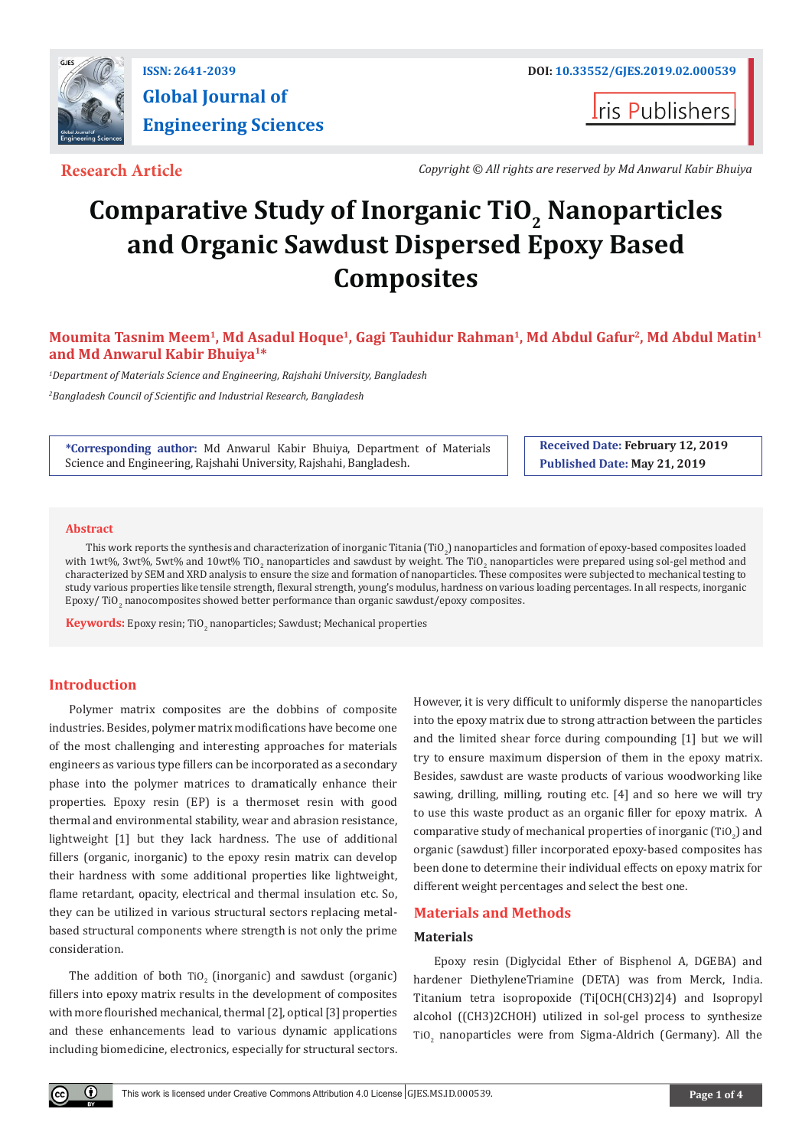

**I**ris Publishers

**Research Article** *Copyright © All rights are reserved by Md Anwarul Kabir Bhuiya*

# **Comparative Study of Inorganic TiO<sub>2</sub> Nanoparticles and Organic Sawdust Dispersed Epoxy Based Composites**

# **Moumita Tasnim Meem1, Md Asadul Hoque1, Gagi Tauhidur Rahman1, Md Abdul Gafur2, Md Abdul Matin1 and Md Anwarul Kabir Bhuiya1\***

*1 Department of Materials Science and Engineering, Rajshahi University, Bangladesh 2 Bangladesh Council of Scientific and Industrial Research, Bangladesh*

**\*Corresponding author:** Md Anwarul Kabir Bhuiya, Department of Materials Science and Engineering, Rajshahi University, Rajshahi, Bangladesh.

**Received Date: February 12, 2019 Published Date: May 21, 2019**

#### **Abstract**

This work reports the synthesis and characterization of inorganic Titania (TiO<sub>2</sub>) nanoparticles and formation of epoxy-based composites loaded with 1wt%, 3wt%, 5wt% and 10wt% TiO<sub>2</sub> nanoparticles and sawdust by weight. The TiO<sub>2</sub> nanoparticles were prepared using sol-gel method and characterized by SEM and XRD analysis to ensure the size and formation of nanoparticles. These composites were subjected to mechanical testing to study various properties like tensile strength, flexural strength, young's modulus, hardness on various loading percentages. In all respects, inorganic Epoxy/ TiO<sub>2</sub> nanocomposites showed better performance than organic sawdust/epoxy composites.

**Keywords:** Epoxy resin; TiO<sub>2</sub> nanoparticles; Sawdust; Mechanical properties

# **Introduction**

Polymer matrix composites are the dobbins of composite industries. Besides, polymer matrix modifications have become one of the most challenging and interesting approaches for materials engineers as various type fillers can be incorporated as a secondary phase into the polymer matrices to dramatically enhance their properties. Epoxy resin (EP) is a thermoset resin with good thermal and environmental stability, wear and abrasion resistance, lightweight [1] but they lack hardness. The use of additional fillers (organic, inorganic) to the epoxy resin matrix can develop their hardness with some additional properties like lightweight, flame retardant, opacity, electrical and thermal insulation etc. So, they can be utilized in various structural sectors replacing metalbased structural components where strength is not only the prime consideration.

The addition of both  $\text{TiO}_2$  (inorganic) and sawdust (organic) fillers into epoxy matrix results in the development of composites with more flourished mechanical, thermal [2], optical [3] properties and these enhancements lead to various dynamic applications including biomedicine, electronics, especially for structural sectors.

However, it is very difficult to uniformly disperse the nanoparticles into the epoxy matrix due to strong attraction between the particles and the limited shear force during compounding [1] but we will try to ensure maximum dispersion of them in the epoxy matrix. Besides, sawdust are waste products of various woodworking like sawing, drilling, milling, routing etc. [4] and so here we will try to use this waste product as an organic filler for epoxy matrix. A comparative study of mechanical properties of inorganic  $(TiO<sub>2</sub>)$  and organic (sawdust) filler incorporated epoxy-based composites has been done to determine their individual effects on epoxy matrix for different weight percentages and select the best one.

# **Materials and Methods**

### **Materials**

Epoxy resin (Diglycidal Ether of Bisphenol A, DGEBA) and hardener DiethyleneTriamine (DETA) was from Merck, India. Titanium tetra isopropoxide (Ti[OCH(CH3)2]4) and Isopropyl alcohol ((CH3)2CHOH) utilized in sol-gel process to synthesize TiO<sub>2</sub> nanoparticles were from Sigma-Aldrich (Germany). All the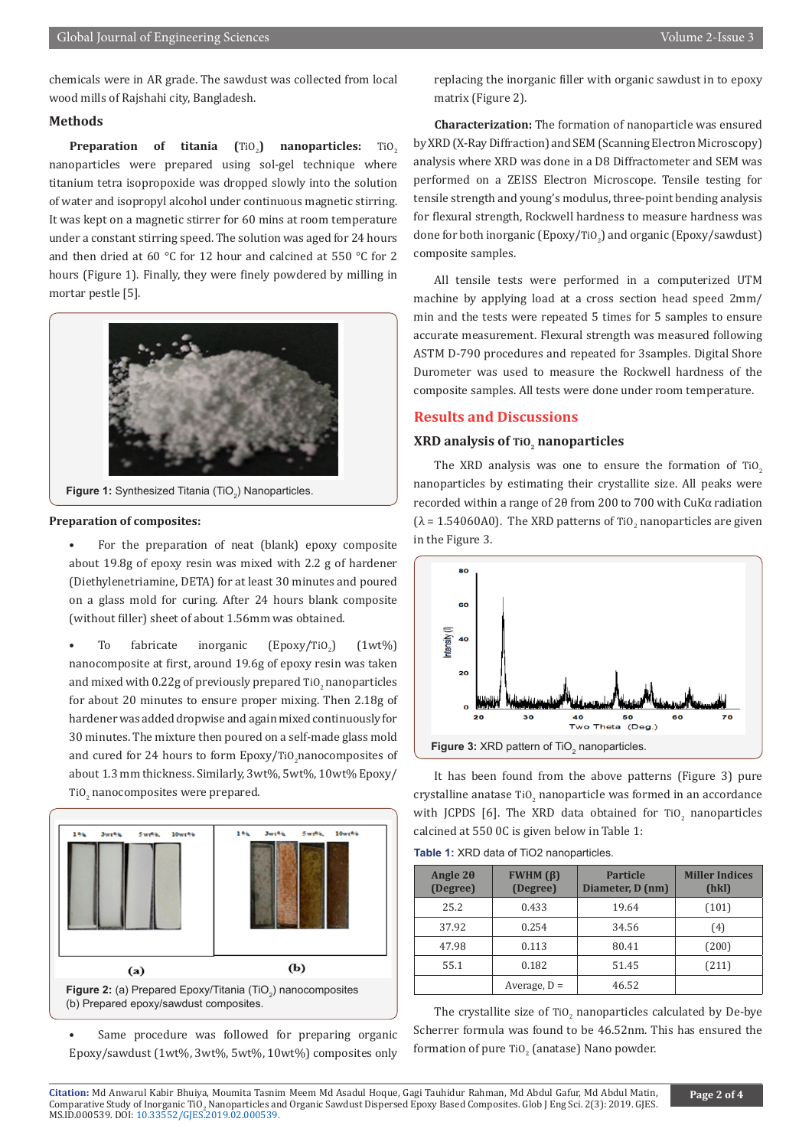chemicals were in AR grade. The sawdust was collected from local wood mills of Rajshahi city, Bangladesh.

# **Methods**

**Preparation of titania (TiO<sub>2</sub>) nanoparticles:** TiO<sub>2</sub> nanoparticles were prepared using sol-gel technique where titanium tetra isopropoxide was dropped slowly into the solution of water and isopropyl alcohol under continuous magnetic stirring. It was kept on a magnetic stirrer for 60 mins at room temperature under a constant stirring speed. The solution was aged for 24 hours and then dried at 60 °C for 12 hour and calcined at 550 °C for 2 hours (Figure 1). Finally, they were finely powdered by milling in mortar pestle [5].



**Figure 1:** Synthesized Titania (TiO<sub>2</sub>) Nanoparticles.

#### **Preparation of composites:**

• For the preparation of neat (blank) epoxy composite about 19.8g of epoxy resin was mixed with 2.2 g of hardener (Diethylenetriamine, DETA) for at least 30 minutes and poured on a glass mold for curing. After 24 hours blank composite (without filler) sheet of about 1.56mm was obtained.

To fabricate inorganic (Epoxy/TiO<sub>2</sub>)  $(1wt\%)$ nanocomposite at first, around 19.6g of epoxy resin was taken and mixed with  $0.22$ g of previously prepared Ti $0_{\rm z}$  nanoparticles for about 20 minutes to ensure proper mixing. Then 2.18g of hardener was added dropwise and again mixed continuously for 30 minutes. The mixture then poured on a self-made glass mold and cured for 24 hours to form Epoxy/TiO<sub>2</sub> hanocomposites of about 1.3 mm thickness. Similarly, 3wt%, 5wt%, 10wt% Epoxy/ Ti $O_2$  nanocomposites were prepared.



Same procedure was followed for preparing organic Epoxy/sawdust (1wt%, 3wt%, 5wt%, 10wt%) composites only

replacing the inorganic filler with organic sawdust in to epoxy matrix (Figure 2).

**Characterization:** The formation of nanoparticle was ensured by XRD (X-Ray Diffraction) and SEM (Scanning Electron Microscopy) analysis where XRD was done in a D8 Diffractometer and SEM was performed on a ZEISS Electron Microscope. Tensile testing for tensile strength and young's modulus, three-point bending analysis for flexural strength, Rockwell hardness to measure hardness was done for both inorganic (Epoxy/TiO<sub>2</sub>) and organic (Epoxy/sawdust) composite samples.

All tensile tests were performed in a computerized UTM machine by applying load at a cross section head speed 2mm/ min and the tests were repeated 5 times for 5 samples to ensure accurate measurement. Flexural strength was measured following ASTM D-790 procedures and repeated for 3samples. Digital Shore Durometer was used to measure the Rockwell hardness of the composite samples. All tests were done under room temperature.

# **Results and Discussions**

# **XRD analysis of TiO2 nanoparticles**

The XRD analysis was one to ensure the formation of  $TiO<sub>2</sub>$ nanoparticles by estimating their crystallite size. All peaks were recorded within a range of 2θ from 200 to 700 with CuKα radiation  $(\lambda = 1.54060 \text{AU})$ . The XRD patterns of TiO<sub>2</sub> nanoparticles are given in the Figure 3.



It has been found from the above patterns (Figure 3) pure crystalline anatase  $\text{TiO}_2$  nanoparticle was formed in an accordance with JCPDS [6]. The XRD data obtained for  $\text{TiO}_2$  nanoparticles calcined at 550 0C is given below in Table 1:

**Table 1:** XRD data of TiO2 nanoparticles.

| Angle $2\theta$<br>(Degree) | <b>FWHM</b> $(\beta)$<br>(Degree) | <b>Particle</b><br>Diameter, D (nm) | <b>Miller Indices</b><br>(hkl) |
|-----------------------------|-----------------------------------|-------------------------------------|--------------------------------|
| 25.2                        | 0.433                             | 19.64                               | (101)                          |
| 37.92                       | 0.254                             | 34.56                               | (4)                            |
| 47.98                       | 0.113                             | 80.41                               | (200)                          |
| 55.1                        | 0.182                             | 51.45                               | (211)                          |
|                             | Average, $D =$                    | 46.52                               |                                |

The crystallite size of  $\text{TiO}_2$  nanoparticles calculated by De-bye Scherrer formula was found to be 46.52nm. This has ensured the formation of pure TiO $_2$  (anatase) Nano powder.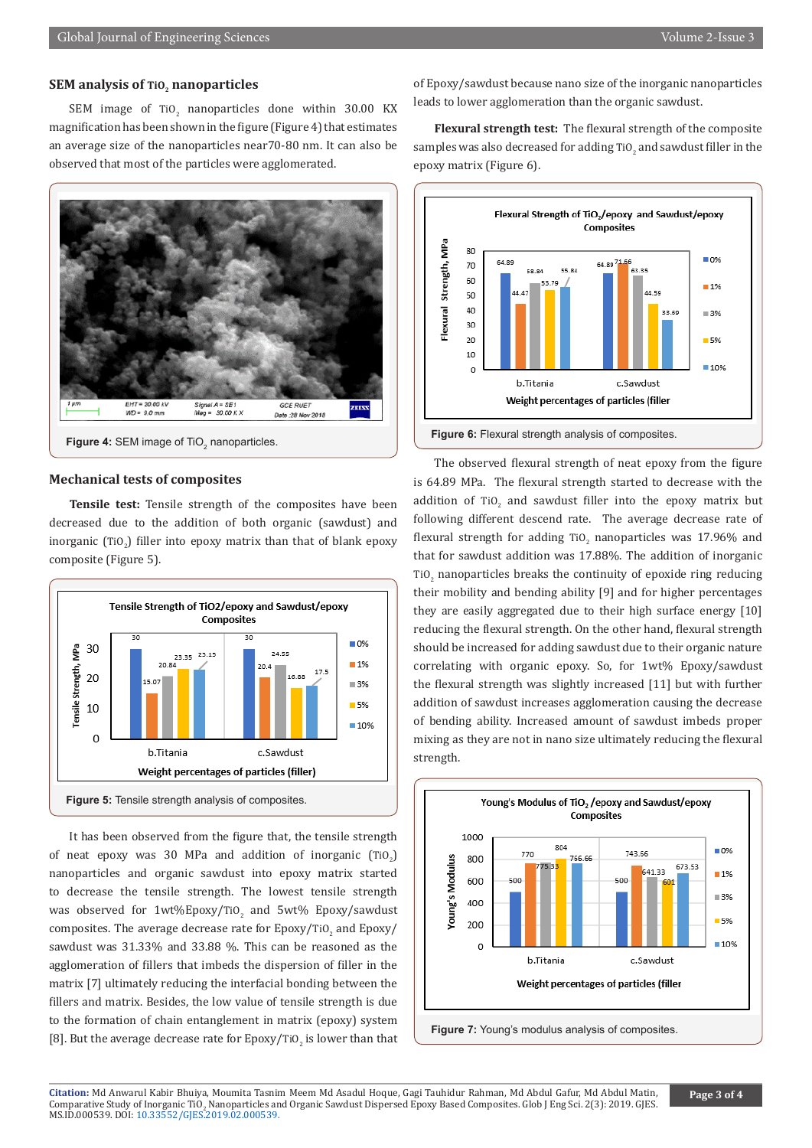# **SEM analysis of TiO<sub>2</sub> nanoparticles**

SEM image of TiO<sub>2</sub> nanoparticles done within 30.00 KX magnification has been shown in the figure (Figure 4) that estimates an average size of the nanoparticles near70-80 nm. It can also be observed that most of the particles were agglomerated.



## **Mechanical tests of composites**

**Tensile test:** Tensile strength of the composites have been decreased due to the addition of both organic (sawdust) and inorganic  $(TiO_2)$  filler into epoxy matrix than that of blank epoxy composite (Figure 5).



It has been observed from the figure that, the tensile strength of neat epoxy was 30 MPa and addition of inorganic  $(TiO<sub>2</sub>)$ nanoparticles and organic sawdust into epoxy matrix started to decrease the tensile strength. The lowest tensile strength was observed for  $1$ wt%Epoxy/TiO<sub>2</sub> and 5wt% Epoxy/sawdust composites. The average decrease rate for  $\text{Epoxy}/\text{TiO}_2$  and  $\text{Epoxy}/$ sawdust was 31.33% and 33.88 %. This can be reasoned as the agglomeration of fillers that imbeds the dispersion of filler in the matrix [7] ultimately reducing the interfacial bonding between the fillers and matrix. Besides, the low value of tensile strength is due to the formation of chain entanglement in matrix (epoxy) system [8]. But the average decrease rate for  $\mathtt{Epoxy/TiO}_2$  is lower than that of Epoxy/sawdust because nano size of the inorganic nanoparticles leads to lower agglomeration than the organic sawdust.

**Flexural strength test:** The flexural strength of the composite samples was also decreased for adding  $\mathrm{TiO}_2$  and sawdust filler in the epoxy matrix (Figure 6).



The observed flexural strength of neat epoxy from the figure is 64.89 MPa. The flexural strength started to decrease with the addition of TiO<sub>2</sub> and sawdust filler into the epoxy matrix but following different descend rate. The average decrease rate of flexural strength for adding TiO<sub>2</sub> nanoparticles was  $17.96\%$  and that for sawdust addition was 17.88%. The addition of inorganic TiO<sub>2</sub> nanoparticles breaks the continuity of epoxide ring reducing their mobility and bending ability [9] and for higher percentages they are easily aggregated due to their high surface energy [10] reducing the flexural strength. On the other hand, flexural strength should be increased for adding sawdust due to their organic nature correlating with organic epoxy. So, for 1wt% Epoxy/sawdust the flexural strength was slightly increased [11] but with further addition of sawdust increases agglomeration causing the decrease of bending ability. Increased amount of sawdust imbeds proper mixing as they are not in nano size ultimately reducing the flexural strength.



**Citation:** Md Anwarul Kabir Bhuiya, Moumita Tasnim Meem Md Asadul Hoque, Gagi Tauhidur Rahman, Md Abdul Gafur, Md Abdul Matin, Comparative Study of Inorganic TiO2 Nanoparticles and Organic Sawdust Dispersed Epoxy Based Composites. Glob J Eng Sci. 2(3): 2019. GJES.<br>Comparative Study of Inorganic Cline MS.ID.000539. DOI: [10.33552/GJES.2019.02.000539](http://dx.doi.org/10.33552/GJES.2019.02.000539).